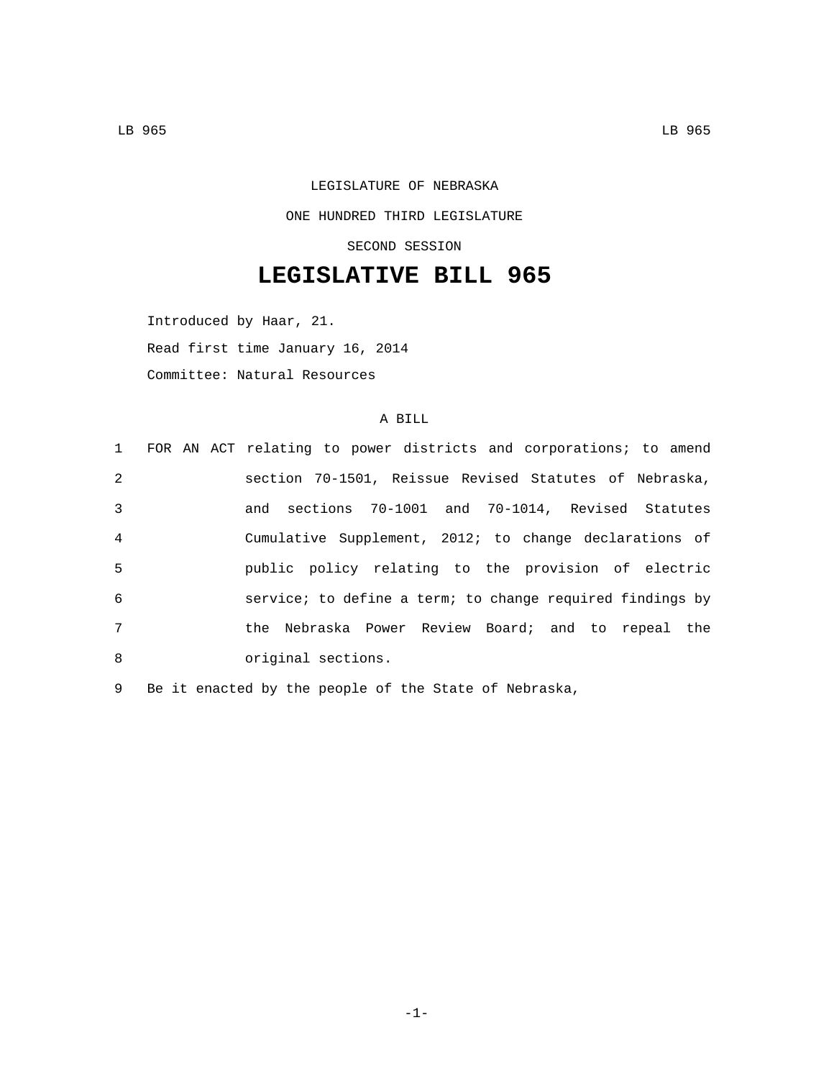LEGISLATURE OF NEBRASKA ONE HUNDRED THIRD LEGISLATURE SECOND SESSION

## **LEGISLATIVE BILL 965**

Introduced by Haar, 21. Read first time January 16, 2014 Committee: Natural Resources

## A BILL

|                | 1 FOR AN ACT relating to power districts and corporations; to amend |
|----------------|---------------------------------------------------------------------|
| 2              | section 70-1501, Reissue Revised Statutes of Nebraska,              |
| 3              | and sections 70-1001 and 70-1014, Revised Statutes                  |
| $\overline{4}$ | Cumulative Supplement, 2012; to change declarations of              |
| 5              | public policy relating to the provision of electric                 |
| 6              | service; to define a term; to change required findings by           |
| 7              | the Nebraska Power Review Board; and to repeal the                  |
| 8              | original sections.                                                  |

9 Be it enacted by the people of the State of Nebraska,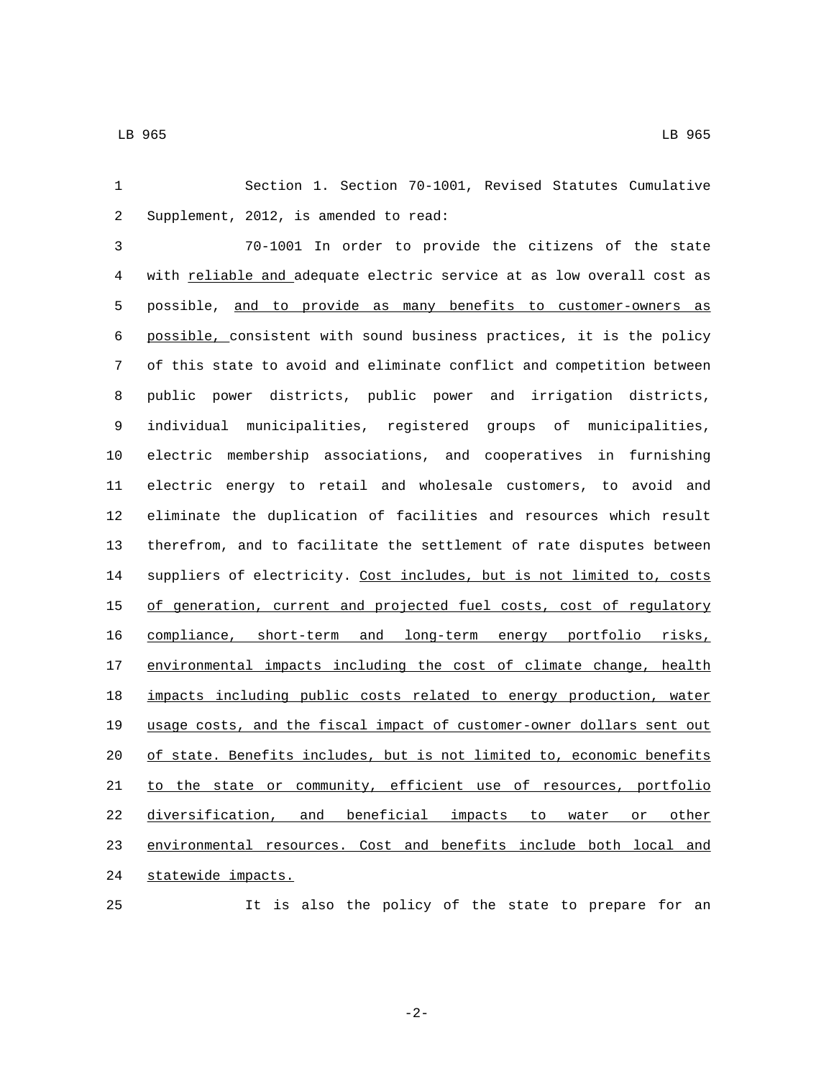Section 1. Section 70-1001, Revised Statutes Cumulative 2 Supplement, 2012, is amended to read: 70-1001 In order to provide the citizens of the state with reliable and adequate electric service at as low overall cost as possible, and to provide as many benefits to customer-owners as possible, consistent with sound business practices, it is the policy of this state to avoid and eliminate conflict and competition between public power districts, public power and irrigation districts, individual municipalities, registered groups of municipalities, electric membership associations, and cooperatives in furnishing electric energy to retail and wholesale customers, to avoid and eliminate the duplication of facilities and resources which result therefrom, and to facilitate the settlement of rate disputes between 14 suppliers of electricity. Cost includes, but is not limited to, costs 15 of generation, current and projected fuel costs, cost of regulatory compliance, short-term and long-term energy portfolio risks, 17 environmental impacts including the cost of climate change, health impacts including public costs related to energy production, water usage costs, and the fiscal impact of customer-owner dollars sent out of state. Benefits includes, but is not limited to, economic benefits 21 to the state or community, efficient use of resources, portfolio diversification, and beneficial impacts to water or other environmental resources. Cost and benefits include both local and 24 statewide impacts.

It is also the policy of the state to prepare for an

-2-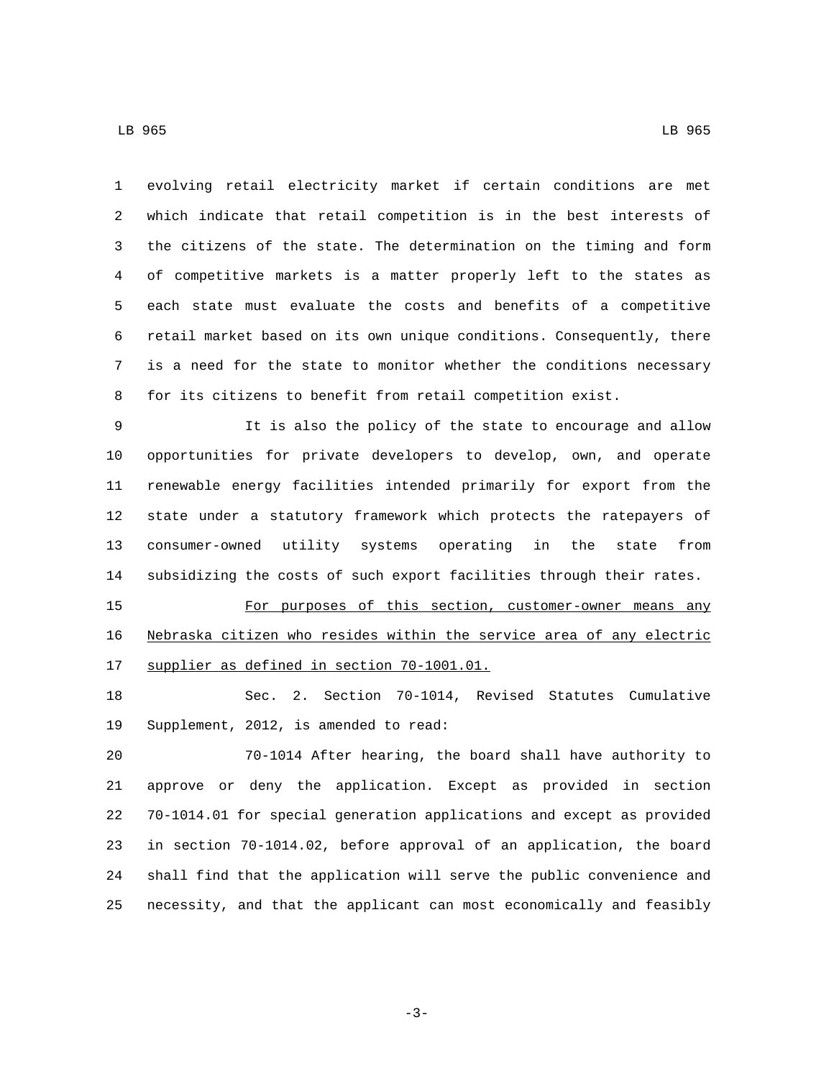evolving retail electricity market if certain conditions are met which indicate that retail competition is in the best interests of the citizens of the state. The determination on the timing and form of competitive markets is a matter properly left to the states as each state must evaluate the costs and benefits of a competitive retail market based on its own unique conditions. Consequently, there is a need for the state to monitor whether the conditions necessary for its citizens to benefit from retail competition exist.

 It is also the policy of the state to encourage and allow opportunities for private developers to develop, own, and operate renewable energy facilities intended primarily for export from the state under a statutory framework which protects the ratepayers of consumer-owned utility systems operating in the state from subsidizing the costs of such export facilities through their rates.

 For purposes of this section, customer-owner means any Nebraska citizen who resides within the service area of any electric 17 supplier as defined in section 70-1001.01.

 Sec. 2. Section 70-1014, Revised Statutes Cumulative 19 Supplement, 2012, is amended to read:

 70-1014 After hearing, the board shall have authority to approve or deny the application. Except as provided in section 70-1014.01 for special generation applications and except as provided in section 70-1014.02, before approval of an application, the board shall find that the application will serve the public convenience and necessity, and that the applicant can most economically and feasibly

-3-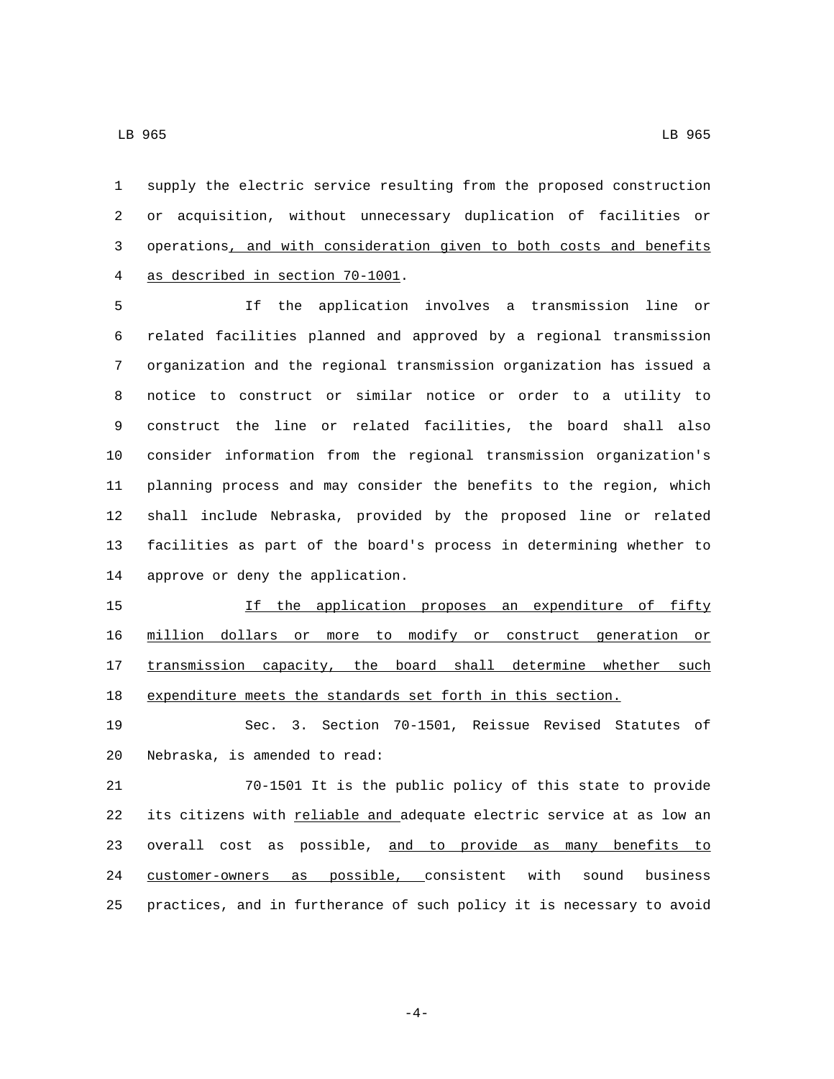supply the electric service resulting from the proposed construction or acquisition, without unnecessary duplication of facilities or

 operations, and with consideration given to both costs and benefits 4 as described in section 70-1001.

 If the application involves a transmission line or related facilities planned and approved by a regional transmission organization and the regional transmission organization has issued a notice to construct or similar notice or order to a utility to construct the line or related facilities, the board shall also consider information from the regional transmission organization's planning process and may consider the benefits to the region, which shall include Nebraska, provided by the proposed line or related facilities as part of the board's process in determining whether to 14 approve or deny the application.

 If the application proposes an expenditure of fifty million dollars or more to modify or construct generation or 17 transmission capacity, the board shall determine whether such expenditure meets the standards set forth in this section.

 Sec. 3. Section 70-1501, Reissue Revised Statutes of 20 Nebraska, is amended to read:

 70-1501 It is the public policy of this state to provide its citizens with reliable and adequate electric service at as low an 23 overall cost as possible, and to provide as many benefits to customer-owners as possible, consistent with sound business practices, and in furtherance of such policy it is necessary to avoid

-4-